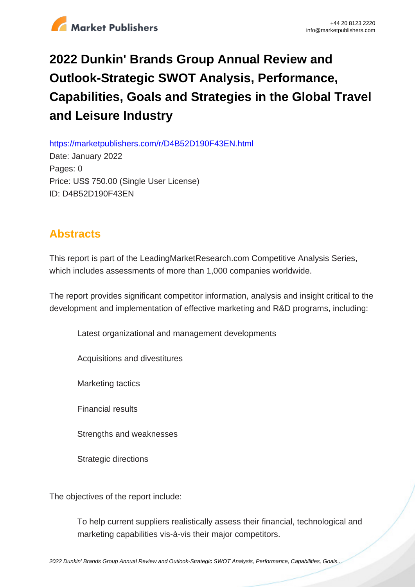

## **2022 Dunkin' Brands Group Annual Review and Outlook-Strategic SWOT Analysis, Performance, Capabilities, Goals and Strategies in the Global Travel and Leisure Industry**

https://marketpublishers.com/r/D4B52D190F43EN.html

Date: January 2022 Pages: 0 Price: US\$ 750.00 (Single User License) ID: D4B52D190F43EN

## **Abstracts**

This report is part of the LeadingMarketResearch.com Competitive Analysis Series, which includes assessments of more than 1,000 companies worldwide.

The report provides significant competitor information, analysis and insight critical to the development and implementation of effective marketing and R&D programs, including:

Latest organizational and management developments

Acquisitions and divestitures

Marketing tactics

Financial results

Strengths and weaknesses

Strategic directions

The objectives of the report include:

To help current suppliers realistically assess their financial, technological and marketing capabilities vis-à-vis their major competitors.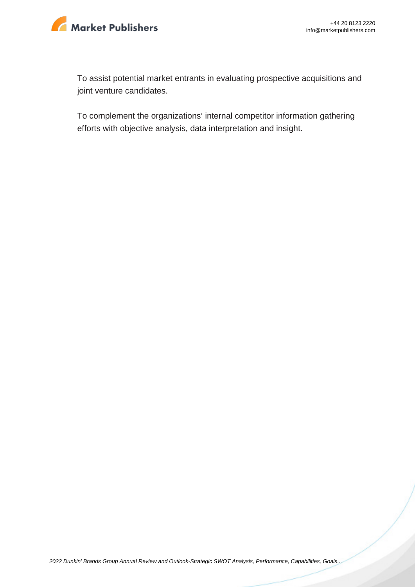

To assist potential market entrants in evaluating prospective acquisitions and joint venture candidates.

To complement the organizations' internal competitor information gathering efforts with objective analysis, data interpretation and insight.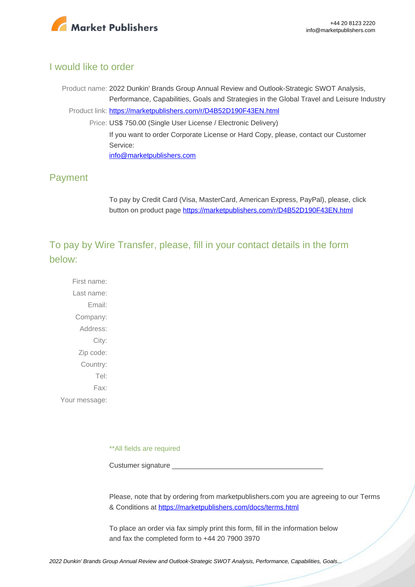

## I would like to order

Product name: 2022 Dunkin' Brands Group Annual Review and Outlook-Strategic SWOT Analysis, Performance, Capabilities, Goals and Strategies in the Global Travel and Leisure Industry Product link: [https://marketpublishers.com/r/D4B52D190F43EN.html](https://marketpublishers.com/report/services/travel-leisure/dunkin-brands-group-annual-review-n-outlook-strategic-swot-analysis-performance-capabilities-goals-n-strategies-in-global-travel-n-leisure-industry.html) Price: US\$ 750.00 (Single User License / Electronic Delivery) If you want to order Corporate License or Hard Copy, please, contact our Customer Service: [info@marketpublishers.com](mailto:info@marketpublishers.com)

## Payment

To pay by Credit Card (Visa, MasterCard, American Express, PayPal), please, click button on product page [https://marketpublishers.com/r/D4B52D190F43EN.html](https://marketpublishers.com/report/services/travel-leisure/dunkin-brands-group-annual-review-n-outlook-strategic-swot-analysis-performance-capabilities-goals-n-strategies-in-global-travel-n-leisure-industry.html)

To pay by Wire Transfer, please, fill in your contact details in the form below:

First name: Last name: Email: Company: Address: City: Zip code: Country: Tel: Fax: Your message:

\*\*All fields are required

Custumer signature

Please, note that by ordering from marketpublishers.com you are agreeing to our Terms & Conditions at<https://marketpublishers.com/docs/terms.html>

To place an order via fax simply print this form, fill in the information below and fax the completed form to +44 20 7900 3970